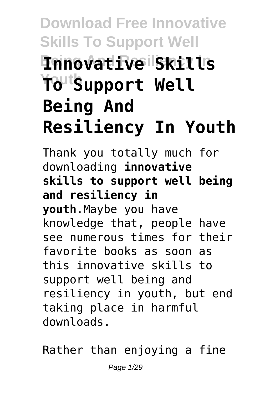# **Download Free Innovative Skills To Support Well Being And Resiliency In Innovative Skills Youth** Support Well **Being And Resiliency In Youth**

Thank you totally much for downloading **innovative skills to support well being and resiliency in youth**.Maybe you have knowledge that, people have see numerous times for their favorite books as soon as this innovative skills to support well being and resiliency in youth, but end taking place in harmful downloads.

Rather than enjoying a fine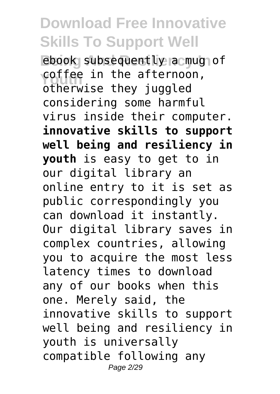ebook subsequently a mug of coffee in the afternoon, otherwise they juggled considering some harmful virus inside their computer. **innovative skills to support well being and resiliency in youth** is easy to get to in our digital library an online entry to it is set as public correspondingly you can download it instantly. Our digital library saves in complex countries, allowing you to acquire the most less latency times to download any of our books when this one. Merely said, the innovative skills to support well being and resiliency in youth is universally compatible following any Page 2/29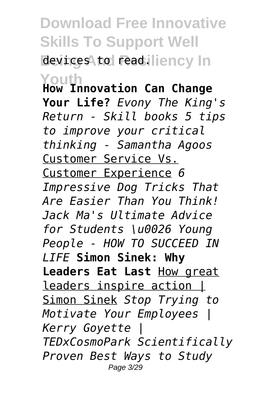# **Download Free Innovative Skills To Support Well** devices to read.lliency In

**Youth How Innovation Can Change Your Life?** *Evony The King's Return - Skill books 5 tips to improve your critical thinking - Samantha Agoos* Customer Service Vs. Customer Experience *6 Impressive Dog Tricks That Are Easier Than You Think! Jack Ma's Ultimate Advice for Students \u0026 Young People - HOW TO SUCCEED IN LIFE* **Simon Sinek: Why Leaders Eat Last** How great leaders inspire action | Simon Sinek *Stop Trying to Motivate Your Employees | Kerry Goyette | TEDxCosmoPark Scientifically Proven Best Ways to Study* Page 3/29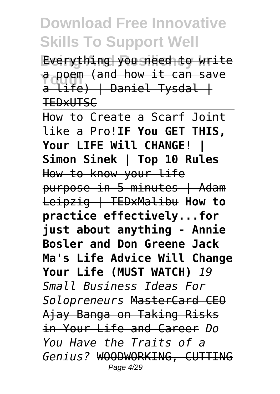**Everything you need to write a poem (and how it can save**<br>
a life) L Daniel Iyedal L  $a$  life)  $\uparrow$  Daniel Tysdal  $\uparrow$ **TEDXUTSC** 

How to Create a Scarf Joint like a Pro!**IF You GET THIS, Your LIFE Will CHANGE! | Simon Sinek | Top 10 Rules** How to know your life purpose in 5 minutes | Adam Leipzig | TEDxMalibu **How to practice effectively...for just about anything - Annie Bosler and Don Greene Jack Ma's Life Advice Will Change Your Life (MUST WATCH)** *19 Small Business Ideas For Solopreneurs* MasterCard CEO Ajay Banga on Taking Risks in Your Life and Career *Do You Have the Traits of a Genius?* WOODWORKING, CUTTING Page 4/29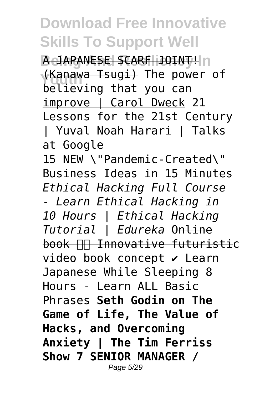**BeJAPANESE SCARF JOINT!** <del>(Kanawa Tsugi)</del> <u>The power of</u><br>helioving that you can</u> believing that you can improve | Carol Dweck 21 Lessons for the 21st Century | Yuval Noah Harari | Talks at Google

15 NEW \"Pandemic-Created\" Business Ideas in 15 Minutes *Ethical Hacking Full Course - Learn Ethical Hacking in 10 Hours | Ethical Hacking Tutorial | Edureka* Online book **In Innovative futuristic** video book concept ✔ Learn Japanese While Sleeping 8 Hours - Learn ALL Basic Phrases **Seth Godin on The Game of Life, The Value of Hacks, and Overcoming Anxiety | The Tim Ferriss Show 7 SENIOR MANAGER /** Page 5/29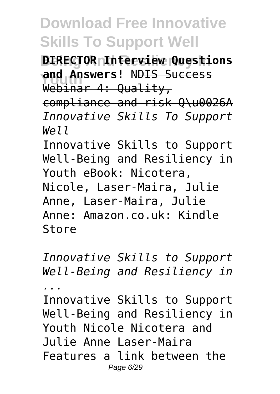**DIRECTOR Interview Questions** ang Answers! <del>NDIS S</del><br>Webinar 4: Quality, **and Answers!** NDIS Success compliance and risk Q\u0026A *Innovative Skills To Support Well* Innovative Skills to Support Well-Being and Resiliency in Youth eBook: Nicotera, Nicole, Laser-Maira, Julie Anne, Laser-Maira, Julie Anne: Amazon.co.uk: Kindle Store

*Innovative Skills to Support Well-Being and Resiliency in*

*...*

Innovative Skills to Support Well-Being and Resiliency in Youth Nicole Nicotera and Julie Anne Laser-Maira Features a link between the Page 6/29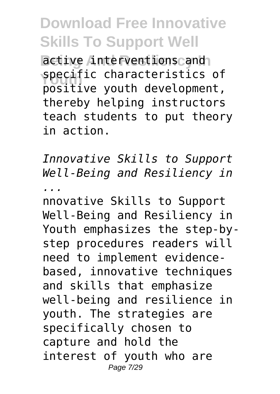**Betive interventions and Specific characteristics of**<br> **necitive** youth development positive youth development, thereby helping instructors teach students to put theory in action.

*Innovative Skills to Support Well-Being and Resiliency in ...*

nnovative Skills to Support Well-Being and Resiliency in Youth emphasizes the step-bystep procedures readers will need to implement evidencebased, innovative techniques and skills that emphasize well-being and resilience in youth. The strategies are specifically chosen to capture and hold the interest of youth who are Page 7/29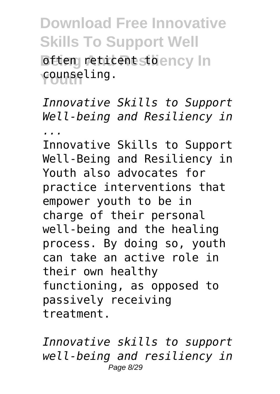**Download Free Innovative Skills To Support Well Beticent Stoency In Youth** counseling.

*Innovative Skills to Support Well-being and Resiliency in*

*...*

Innovative Skills to Support Well-Being and Resiliency in Youth also advocates for practice interventions that empower youth to be in charge of their personal well-being and the healing process. By doing so, youth can take an active role in their own healthy functioning, as opposed to passively receiving treatment.

*Innovative skills to support well-being and resiliency in* Page 8/29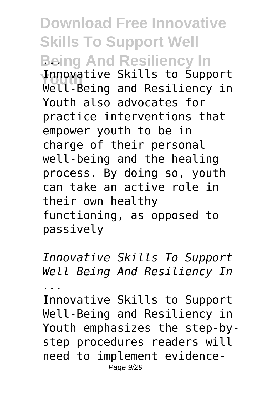**Download Free Innovative Skills To Support Well Being And Resiliency In** *...* **Innovative Skills to Support**<br>Well Being and Besiliancy in Well-Being and Resiliency in Youth also advocates for practice interventions that empower youth to be in charge of their personal well-being and the healing process. By doing so, youth can take an active role in their own healthy functioning, as opposed to passively

*Innovative Skills To Support Well Being And Resiliency In ...*

Innovative Skills to Support Well-Being and Resiliency in Youth emphasizes the step-bystep procedures readers will need to implement evidence-Page 9/29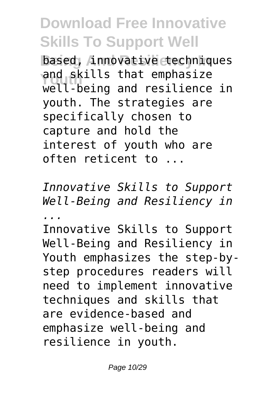**based, innovative techniques** and skills that emphasize<br>
you hoirs and resiliance well-being and resilience in youth. The strategies are specifically chosen to capture and hold the interest of youth who are often reticent to ...

*Innovative Skills to Support Well-Being and Resiliency in ...*

Innovative Skills to Support Well-Being and Resiliency in Youth emphasizes the step-bystep procedures readers will need to implement innovative techniques and skills that are evidence-based and emphasize well-being and resilience in youth.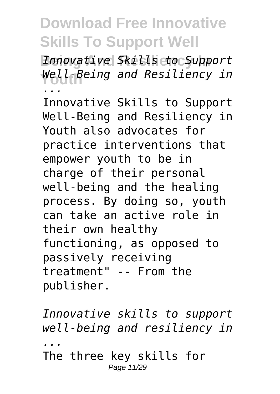**Being And Resiliency In** *Innovative Skills to Support* **Youth** *Well-Being and Resiliency in ...*

Innovative Skills to Support Well-Being and Resiliency in Youth also advocates for practice interventions that empower youth to be in charge of their personal well-being and the healing process. By doing so, youth can take an active role in their own healthy functioning, as opposed to passively receiving treatment" -- From the publisher.

*Innovative skills to support well-being and resiliency in ...* The three key skills for Page 11/29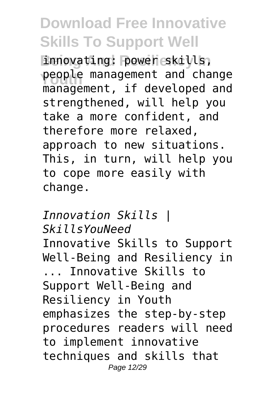innovating: power skills, **people management and change**<br> **management** if developed and management, if developed and strengthened, will help you take a more confident, and therefore more relaxed, approach to new situations. This, in turn, will help you to cope more easily with change.

*Innovation Skills | SkillsYouNeed* Innovative Skills to Support Well-Being and Resiliency in ... Innovative Skills to Support Well-Being and Resiliency in Youth emphasizes the step-by-step procedures readers will need to implement innovative techniques and skills that Page 12/29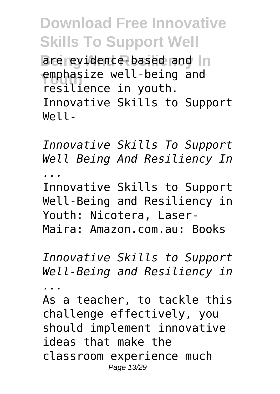**Download Free Innovative Skills To Support Well** are evidence-based and In emphasize well-being and<br> **Easilianse in Youth** resilience in youth. Innovative Skills to Support Well-

*Innovative Skills To Support Well Being And Resiliency In ...*

Innovative Skills to Support Well-Being and Resiliency in Youth: Nicotera, Laser-Maira: Amazon.com.au: Books

*Innovative Skills to Support Well-Being and Resiliency in*

*...*

As a teacher, to tackle this challenge effectively, you should implement innovative ideas that make the classroom experience much Page 13/29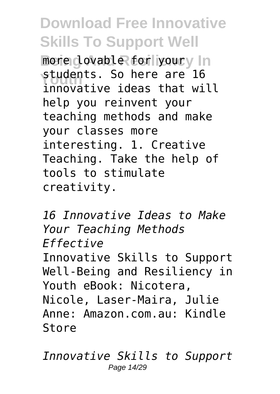more dovable for youry In students. So nere are ib<br>innovative ideas that will students. So here are 16 help you reinvent your teaching methods and make your classes more interesting. 1. Creative Teaching. Take the help of tools to stimulate creativity.

*16 Innovative Ideas to Make Your Teaching Methods Effective* Innovative Skills to Support Well-Being and Resiliency in Youth eBook: Nicotera, Nicole, Laser-Maira, Julie Anne: Amazon.com.au: Kindle Store

*Innovative Skills to Support* Page 14/29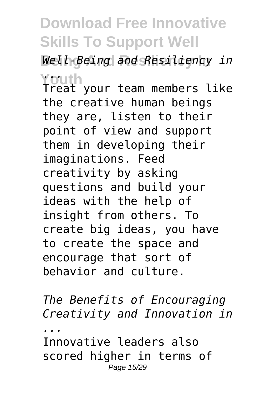**Being And Resiliency In** *Well-Being and Resiliency in* **Youth** *...* Treat your team members like the creative human beings they are, listen to their point of view and support them in developing their imaginations. Feed creativity by asking questions and build your ideas with the help of insight from others. To create big ideas, you have to create the space and encourage that sort of behavior and culture.

*The Benefits of Encouraging Creativity and Innovation in ...*

Innovative leaders also scored higher in terms of Page 15/29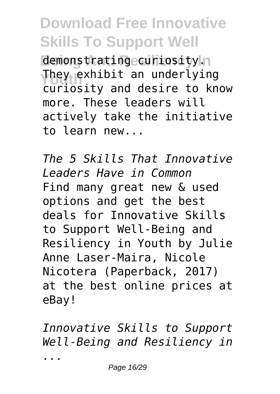demonstrating curiosity.n **They exhibit an underlying** curiosity and desire to know more. These leaders will actively take the initiative to learn new...

*The 5 Skills That Innovative Leaders Have in Common* Find many great new & used options and get the best deals for Innovative Skills to Support Well-Being and Resiliency in Youth by Julie Anne Laser-Maira, Nicole Nicotera (Paperback, 2017) at the best online prices at eBay!

*Innovative Skills to Support Well-Being and Resiliency in ...*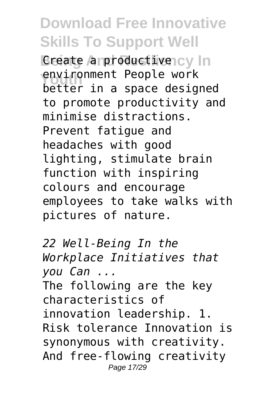**Breate and roductivency In environment People work** better in a space designed to promote productivity and minimise distractions. Prevent fatigue and headaches with good lighting, stimulate brain function with inspiring colours and encourage employees to take walks with pictures of nature.

*22 Well-Being In the Workplace Initiatives that you Can ...* The following are the key characteristics of innovation leadership. 1. Risk tolerance Innovation is synonymous with creativity. And free-flowing creativity Page 17/29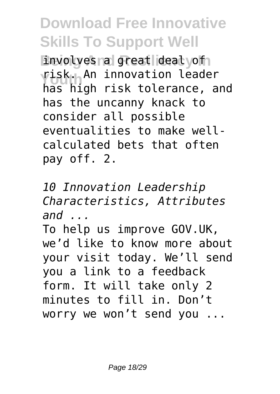involves a great deal yof risk. An innovation leader<br>has high risk telerance has high risk tolerance, and has the uncanny knack to consider all possible eventualities to make wellcalculated bets that often pay off. 2.

*10 Innovation Leadership Characteristics, Attributes and ...*

To help us improve GOV.UK, we'd like to know more about your visit today. We'll send you a link to a feedback form. It will take only 2 minutes to fill in. Don't worry we won't send you ...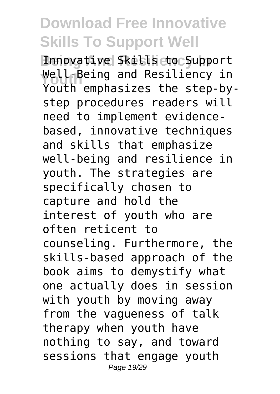**Being And Resiliency In** Innovative Skills to Support **Youth** Well-Being and Resiliency in Youth emphasizes the step-bystep procedures readers will need to implement evidencebased, innovative techniques and skills that emphasize well-being and resilience in youth. The strategies are specifically chosen to capture and hold the interest of youth who are often reticent to counseling. Furthermore, the skills-based approach of the book aims to demystify what one actually does in session with youth by moving away from the vagueness of talk therapy when youth have nothing to say, and toward sessions that engage youth Page 19/29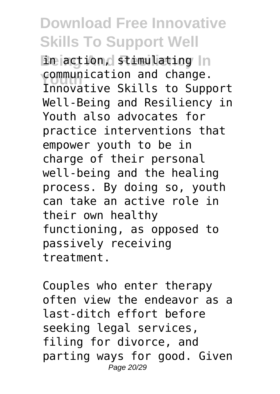in action, stimulating In **Communication and change.**<br>Innovative Skills to Supp Innovative Skills to Support Well-Being and Resiliency in Youth also advocates for practice interventions that empower youth to be in charge of their personal well-being and the healing process. By doing so, youth can take an active role in their own healthy functioning, as opposed to passively receiving treatment.

Couples who enter therapy often view the endeavor as a last-ditch effort before seeking legal services, filing for divorce, and parting ways for good. Given Page 20/29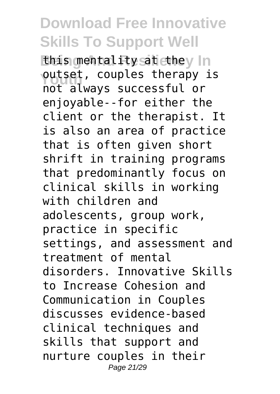this mentality satiethey In outset, couples therapy is not always successful or enjoyable--for either the client or the therapist. It is also an area of practice that is often given short shrift in training programs that predominantly focus on clinical skills in working with children and adolescents, group work, practice in specific settings, and assessment and treatment of mental disorders. Innovative Skills to Increase Cohesion and Communication in Couples discusses evidence-based clinical techniques and skills that support and nurture couples in their Page 21/29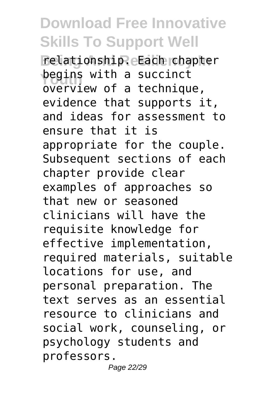**Being And Resiliency In** relationship. Each chapter **begins with a succinct** overview of a technique, evidence that supports it, and ideas for assessment to ensure that it is appropriate for the couple. Subsequent sections of each chapter provide clear examples of approaches so that new or seasoned clinicians will have the requisite knowledge for effective implementation, required materials, suitable locations for use, and personal preparation. The text serves as an essential resource to clinicians and social work, counseling, or psychology students and professors.

Page 22/29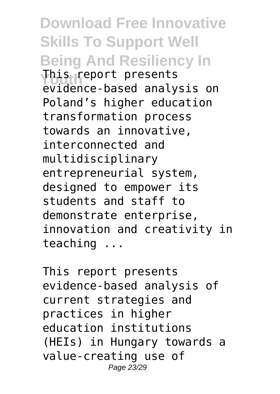**Download Free Innovative Skills To Support Well Being And Resiliency In Youth** This report presents evidence-based analysis on Poland's higher education transformation process towards an innovative, interconnected and multidisciplinary entrepreneurial system, designed to empower its students and staff to demonstrate enterprise, innovation and creativity in teaching ...

This report presents evidence-based analysis of current strategies and practices in higher education institutions (HEIs) in Hungary towards a value-creating use of Page 23/29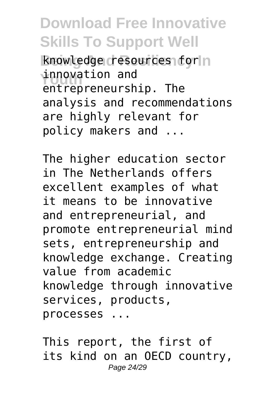**Rnowledge resources for n** innovation and<br>
artransproversh entrepreneurship. The analysis and recommendations are highly relevant for policy makers and ...

The higher education sector in The Netherlands offers excellent examples of what it means to be innovative and entrepreneurial, and promote entrepreneurial mind sets, entrepreneurship and knowledge exchange. Creating value from academic knowledge through innovative services, products, processes ...

This report, the first of its kind on an OECD country, Page 24/29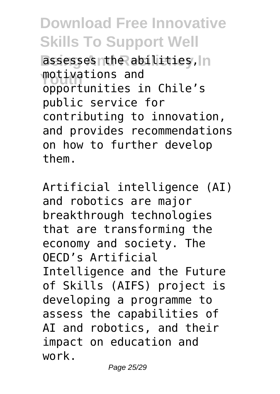assesses the abilities, In motivations and<br>opportunities in Chile's motivations and public service for contributing to innovation, and provides recommendations on how to further develop them.

Artificial intelligence (AI) and robotics are major breakthrough technologies that are transforming the economy and society. The OECD's Artificial Intelligence and the Future of Skills (AIFS) project is developing a programme to assess the capabilities of AI and robotics, and their impact on education and work.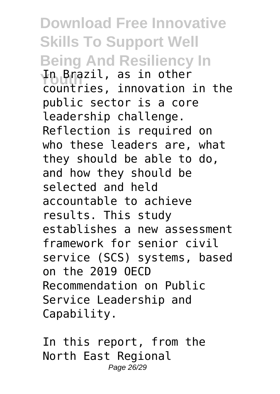**Download Free Innovative Skills To Support Well Being And Resiliency In Youth** In Brazil, as in other countries, innovation in the public sector is a core leadership challenge. Reflection is required on who these leaders are, what they should be able to do, and how they should be selected and held accountable to achieve results. This study establishes a new assessment framework for senior civil service (SCS) systems, based on the 2019 OECD Recommendation on Public Service Leadership and Capability.

In this report, from the North East Regional Page 26/29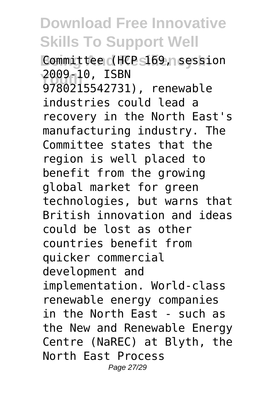**Committee (HCP 5169, session Youth** 2009-10, ISBN 9780215542731), renewable industries could lead a recovery in the North East's manufacturing industry. The Committee states that the region is well placed to benefit from the growing global market for green technologies, but warns that British innovation and ideas could be lost as other countries benefit from quicker commercial development and implementation. World-class renewable energy companies in the North East - such as the New and Renewable Energy Centre (NaREC) at Blyth, the North East Process Page 27/29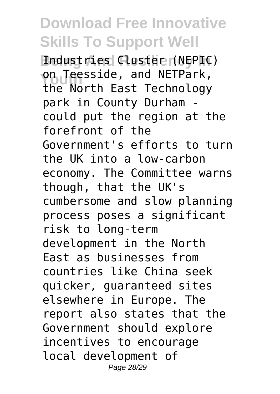**Being And Resiliency In** Industries Cluster (NEPIC) **on Teesside, and NETPark,**<br>
the Nerth East Technology the North East Technology park in County Durham could put the region at the forefront of the Government's efforts to turn the UK into a low-carbon economy. The Committee warns though, that the UK's cumbersome and slow planning process poses a significant risk to long-term development in the North East as businesses from countries like China seek quicker, guaranteed sites elsewhere in Europe. The report also states that the Government should explore incentives to encourage local development of Page 28/29